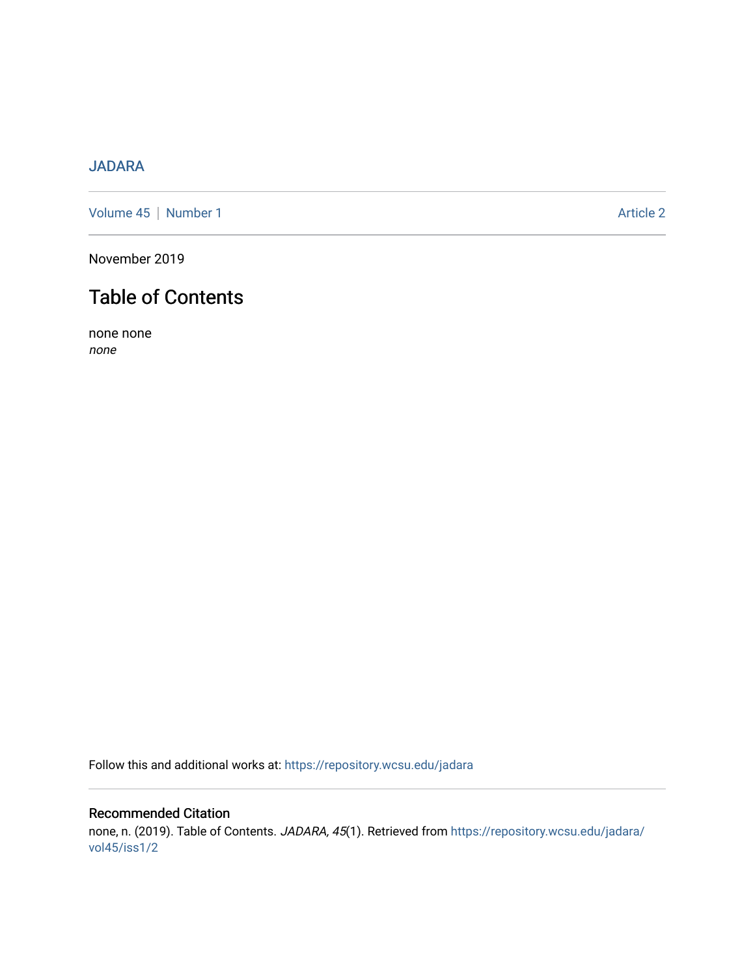# [JADARA](https://repository.wcsu.edu/jadara)

[Volume 45](https://repository.wcsu.edu/jadara/vol45) | [Number 1](https://repository.wcsu.edu/jadara/vol45/iss1) Article 2

November 2019

# Table of Contents

none none none

Follow this and additional works at: [https://repository.wcsu.edu/jadara](https://repository.wcsu.edu/jadara?utm_source=repository.wcsu.edu%2Fjadara%2Fvol45%2Fiss1%2F2&utm_medium=PDF&utm_campaign=PDFCoverPages)

## Recommended Citation none, n. (2019). Table of Contents. JADARA, 45(1). Retrieved from [https://repository.wcsu.edu/jadara/](https://repository.wcsu.edu/jadara/vol45/iss1/2?utm_source=repository.wcsu.edu%2Fjadara%2Fvol45%2Fiss1%2F2&utm_medium=PDF&utm_campaign=PDFCoverPages) [vol45/iss1/2](https://repository.wcsu.edu/jadara/vol45/iss1/2?utm_source=repository.wcsu.edu%2Fjadara%2Fvol45%2Fiss1%2F2&utm_medium=PDF&utm_campaign=PDFCoverPages)